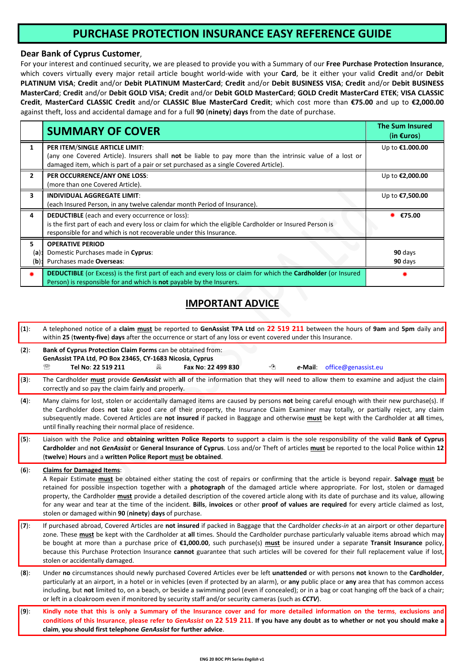# **PURCHASE PROTECTION INSURANCE ΕASY REFERENCE GUIDE**

### **Dear Bank of Cyprus Customer**,

For your interest and continued security, we are pleased to provide you with a Summary of our **Free Purchase Protection Insurance**, which covers virtually every major retail article bought world-wide with your **Card**, be it either your valid **Credit** and/or **Debit PLATINUM VISA**; **Credit** and/or **Debit PLATINUM MasterCard**; **Credit** and/or **Debit BUSINESS VISA**; **Credit** and/or **Debit BUSINESS MasterCard**; **Credit** and/or **Debit GOLD VISA**; **Credit** and/or **Debit GOLD MasterCard**; **GOLD Credit MasterCard ETEK**; **VISA CLASSIC Credit**, **MasterCard CLASSIC Credit** and/or **CLASSIC Blue MasterCard Credit**; which cost more than **€75.00** and up to **€2,000.00** against theft, loss and accidental damage and for a full **90** (**ninety**) **days** from the date of purchase.

|                          | <b>SUMMARY OF COVER</b>                                                                                                                                                                                                                  | <b>The Sum Insured</b><br>(in $\epsilon$ uros) |
|--------------------------|------------------------------------------------------------------------------------------------------------------------------------------------------------------------------------------------------------------------------------------|------------------------------------------------|
|                          | PER ITEM/SINGLE ARTICLE LIMIT:<br>(any one Covered Article). Insurers shall not be liable to pay more than the intrinsic value of a lost or<br>damaged item, which is part of a pair or set purchased as a single Covered Article).      | Up to €1.000.00                                |
| $\mathbf{z}$             | PER OCCURRENCE/ANY ONE LOSS:<br>(more than one Covered Article).                                                                                                                                                                         | Up to <b>€2,000.00</b>                         |
| 3                        | <b>INDIVIDUAL AGGREGATE LIMIT:</b><br>(each Insured Person, in any twelve calendar month Period of Insurance).                                                                                                                           | Up to €7,500.00                                |
| 4                        | <b>DEDUCTIBLE</b> (each and every occurrence or loss):<br>is the first part of each and every loss or claim for which the eligible Cardholder or Insured Person is<br>responsible for and which is not recoverable under this Insurance. | €75.00                                         |
| 5.<br>$(a)$ :<br>$(b)$ : | <b>OPERATIVE PERIOD</b><br>Domestic Purchases made in Cyprus:<br>Purchases made Overseas:                                                                                                                                                | 90 days<br>90 days                             |
| ∗                        | DEDUCTIBLE (or Excess) is the first part of each and every loss or claim for which the Cardholder (or Insured<br>Person) is responsible for and which is <b>not</b> payable by the Insurers.                                             |                                                |

## **IMPORTANT ADVICE**

| $(1)$ : | A telephoned notice of a claim must be reported to GenAssist TPA Ltd on 22 519 211 between the hours of 9am and 5pm daily and<br>within 25 (twenty-five) days after the occurrence or start of any loss or event covered under this Insurance.                                                                                                                                                                                                                                                                                                                                                                                                                                 |
|---------|--------------------------------------------------------------------------------------------------------------------------------------------------------------------------------------------------------------------------------------------------------------------------------------------------------------------------------------------------------------------------------------------------------------------------------------------------------------------------------------------------------------------------------------------------------------------------------------------------------------------------------------------------------------------------------|
| $(2)$ : | Bank of Cyprus Protection Claim Forms can be obtained from:<br>GenAssist TPA Ltd, PO Box 23465, CY-1683 Nicosia, Cyprus<br>∕≞<br>☎<br>Tel No: 22 519 211<br>Fax No: 22 499 830<br>office@genassist.eu<br>昌<br>e-Mail:                                                                                                                                                                                                                                                                                                                                                                                                                                                          |
| $(3)$ : | The Cardholder must provide GenAssist with all of the information that they will need to allow them to examine and adjust the claim<br>correctly and so pay the claim fairly and properly.                                                                                                                                                                                                                                                                                                                                                                                                                                                                                     |
| $(4)$ : | Many claims for lost, stolen or accidentally damaged items are caused by persons not being careful enough with their new purchase(s). If<br>the Cardholder does not take good care of their property, the Insurance Claim Examiner may totally, or partially reject, any claim<br>subsequently made. Covered Articles are not insured if packed in Baggage and otherwise must be kept with the Cardholder at all times,<br>until finally reaching their normal place of residence.                                                                                                                                                                                             |
| $(5)$ : | Liaison with the Police and obtaining written Police Reports to support a claim is the sole responsibility of the valid Bank of Cyprus<br>Cardholder and not GenAssist or General Insurance of Cyprus. Loss and/or Theft of articles must be reported to the local Police within 12<br>(twelve) Hours and a written Police Report must be obtained.                                                                                                                                                                                                                                                                                                                            |
| $(6)$ : | <b>Claims for Damaged Items:</b><br>A Repair Estimate must be obtained either stating the cost of repairs or confirming that the article is beyond repair. Salvage must be<br>retained for possible inspection together with a <b>photograph</b> of the damaged article where appropriate. For lost, stolen or damaged<br>property, the Cardholder must provide a detailed description of the covered article along with its date of purchase and its value, allowing<br>for any wear and tear at the time of the incident. Bills, invoices or other proof of values are required for every article claimed as lost,<br>stolen or damaged within 90 (ninety) days of purchase. |
| $(7)$ : | If purchased abroad, Covered Articles are not insured if packed in Baggage that the Cardholder checks-in at an airport or other departure<br>zone. These <b>must</b> be kept with the Cardholder at all times. Should the Cardholder purchase particularly valuable items abroad which may<br>be bought at more than a purchase price of €1,000.00, such purchase(s) must be insured under a separate Transit Insurance policy,<br>because this Purchase Protection Insurance cannot guarantee that such articles will be covered for their full replacement value if lost,<br>stolen or accidentally damaged.                                                                 |
| $(8)$ : | Under no circumstances should newly purchased Covered Articles ever be left unattended or with persons not known to the Cardholder,<br>particularly at an airport, in a hotel or in vehicles (even if protected by an alarm), or any public place or any area that has common access<br>including, but not limited to, on a beach, or beside a swimming pool (even if concealed); or in a bag or coat hanging off the back of a chair;<br>or left in a cloakroom even if monitored by security staff and/or security cameras (such as CCTV).                                                                                                                                   |
| $(9)$ : | Kindly note that this is only a Summary of the Insurance cover and for more detailed information on the terms, exclusions and<br>conditions of this Insurance, please refer to GenAssist on 22 519 211. If you have any doubt as to whether or not you should make a<br>claim, you should first telephone GenAssist for further advice.                                                                                                                                                                                                                                                                                                                                        |